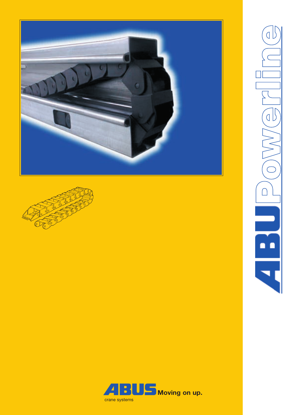





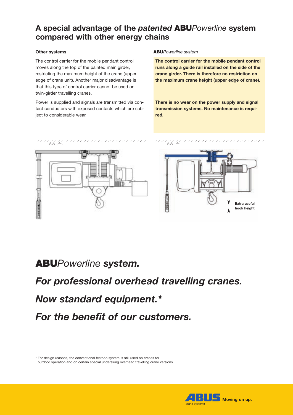# **A special advantage of the** *patented* **ABU***Powerline* **system compared with other energy chains**

## **Other systems**

The control carrier for the mobile pendant control moves along the top of the painted main girder, restricting the maximum height of the crane (upper edge of crane unit). Another major disadvantage is that this type of control carrier cannot be used on twin-girder travelling cranes.

Power is supplied and signals are transmitted via contact conductors with exposed contacts which are subject to considerable wear.

#### **ABU***Powerline system*

**The control carrier for the mobile pendant control runs along a guide rail installed on the side of the crane girder. There is therefore no restriction on the maximum crane height (upper edge of crane).**

**There is no wear on the power supply and signal transmission systems. No maintenance is required.**



# **ABU***Powerline system.*

# *For professional overhead travelling cranes.*

# *Now standard equipment.\**

*For the benefit of our customers.*

\* For design reasons, the conventional festoon system is still used on cranes for outdoor operation and on certain special underslung overhead travelling crane versions.

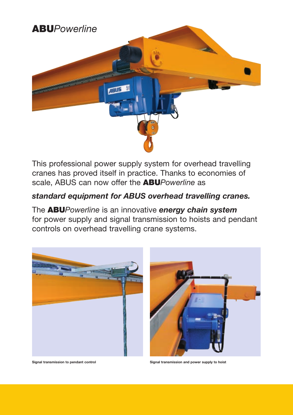

This professional power supply system for overhead travelling cranes has proved itself in practice. Thanks to economies of scale, ABUS can now offer the **ABU***Powerline* as

# *standard equipment for ABUS overhead travelling cranes.*

The **ABU***Powerline* is an innovative *energy chain system*  for power supply and signal transmission to hoists and pendant controls on overhead travelling crane systems.





**Signal transmission to pendant control Signal transmission and power supply to hoist**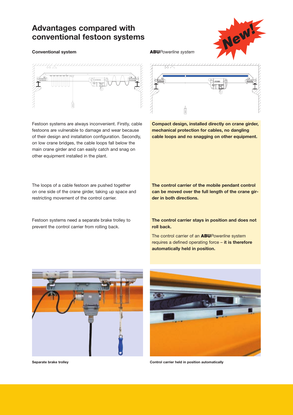## **Advantages compared with conventional festoon systems**

### **Conventional system ABU***Powerline system*



Festoon systems are always inconvenient. Firstly, cable festoons are vulnerable to damage and wear because of their design and installation configuration. Secondly, on low crane bridges, the cable loops fall below the main crane girder and can easily catch and snag on other equipment installed in the plant.

The loops of a cable festoon are pushed together on one side of the crane girder, taking up space and restricting movement of the control carrier.

Festoon systems need a separate brake trolley to prevent the control carrier from rolling back.





**Compact design, installed directly on crane girder, mechanical protection for cables, no dangling cable loops and no snagging on other equipment.**

**The control carrier of the mobile pendant control can be moved over the full length of the crane girder in both directions.**

**The control carrier stays in position and does not roll back.**

The control carrier of an **ABU***Powerline* system requires a defined operating force – **it is therefore automatically held in position.**





**Separate brake trolley Control carrier held in position automatically**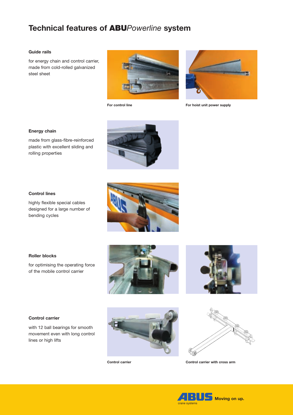# **Technical features of ABU***Powerline* **system**

### **Guide rails**

for energy chain and control carrier, made from cold-rolled galvanized steel sheet





**For control line For hoist unit power supply**

### **Energy chain**

made from glass-fibre-reinforced plastic with excellent sliding and rolling properties



highly flexible special cables designed for a large number of bending cycles





### **Roller blocks**

for optimising the operating force of the mobile control carrier



#### **Control carrier**

with 12 ball bearings for smooth movement even with long control lines or high lifts





**Control carrier Control carrier with cross arm**